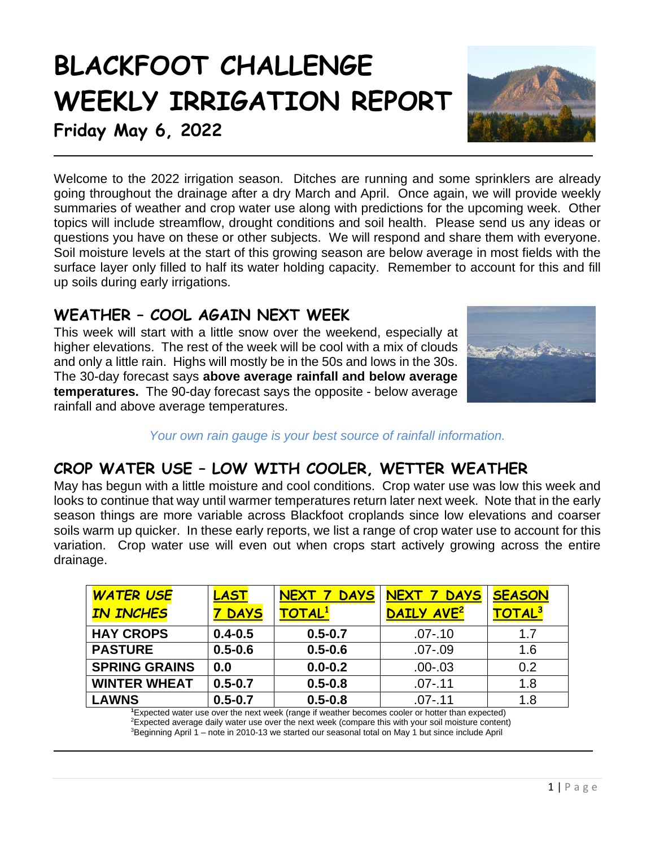# **BLACKFOOT CHALLENGE WEEKLY IRRIGATION REPORT**



**Friday May 6, 2022**

Welcome to the 2022 irrigation season. Ditches are running and some sprinklers are already going throughout the drainage after a dry March and April. Once again, we will provide weekly summaries of weather and crop water use along with predictions for the upcoming week. Other topics will include streamflow, drought conditions and soil health. Please send us any ideas or questions you have on these or other subjects. We will respond and share them with everyone. Soil moisture levels at the start of this growing season are below average in most fields with the surface layer only filled to half its water holding capacity. Remember to account for this and fill up soils during early irrigations.

# **WEATHER – COOL AGAIN NEXT WEEK**

This week will start with a little snow over the weekend, especially at higher elevations. The rest of the week will be cool with a mix of clouds and only a little rain. Highs will mostly be in the 50s and lows in the 30s. The 30-day forecast says **above average rainfall and below average temperatures.** The 90-day forecast says the opposite - below average rainfall and above average temperatures.



*Your own rain gauge is your best source of rainfall information.*

# **CROP WATER USE – LOW WITH COOLER, WETTER WEATHER**

May has begun with a little moisture and cool conditions. Crop water use was low this week and looks to continue that way until warmer temperatures return later next week. Note that in the early season things are more variable across Blackfoot croplands since low elevations and coarser soils warm up quicker. In these early reports, we list a range of crop water use to account for this variation. Crop water use will even out when crops start actively growing across the entire drainage.

| <b>WATER USE</b>     | LAST        | <b>DAYS</b><br><b>NEXT</b> | NEXT 7<br><b>DAYS</b>  | <b>SEASON</b> |
|----------------------|-------------|----------------------------|------------------------|---------------|
| <b>IN INCHES</b>     | <b>DAYS</b> | <b>TOTAL1</b>              | DAILY AVE <sup>2</sup> | TOTAL3        |
| <b>HAY CROPS</b>     | $0.4 - 0.5$ | $0.5 - 0.7$                | $.07 - .10$            | 1.7           |
| <b>PASTURE</b>       | $0.5 - 0.6$ | $0.5 - 0.6$                | $.07 - .09$            | 1.6           |
| <b>SPRING GRAINS</b> | 0.0         | $0.0 - 0.2$                | $.00 - .03$            | 0.2           |
| <b>WINTER WHEAT</b>  | $0.5 - 0.7$ | $0.5 - 0.8$                | $.07 - .11$            | 1.8           |
| <b>LAWNS</b>         | $0.5 - 0.7$ | $0.5 - 0.8$                | $.07 - .11$            | 1.8           |

**1** Expected water use over the next week (range if weather becomes cooler or hotter than expected) 2 Expected average daily water use over the next week (compare this with your soil moisture content) 3 Beginning April 1 – note in 2010-13 we started our seasonal total on May 1 but since include April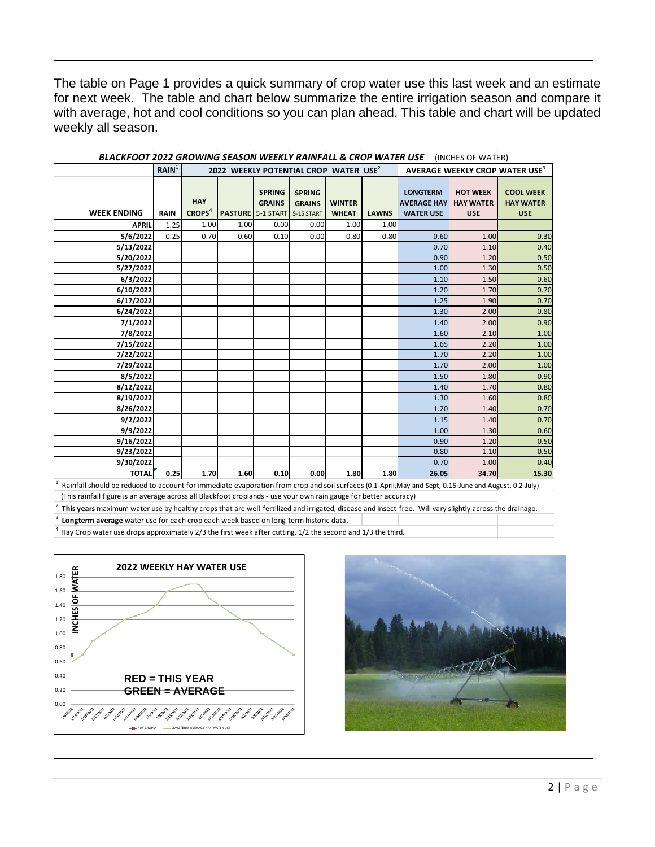The table on Page 1 provides a quick summary of crop water use this last week and an estimate for next week. The table and chart below summarize the entire irrigation season and compare it with average, hot and cool conditions so you can plan ahead. This table and chart will be updated weekly all season.

| BLACKFOOT 2022 GROWING SEASON WEEKLY RAINFALL & CROP WATER USE<br>(INCHES OF WATER) |                   |                                                   |      |                                                                       |                                |                               |              |                                                           |                                                   |                                                    |  |  |
|-------------------------------------------------------------------------------------|-------------------|---------------------------------------------------|------|-----------------------------------------------------------------------|--------------------------------|-------------------------------|--------------|-----------------------------------------------------------|---------------------------------------------------|----------------------------------------------------|--|--|
|                                                                                     | RAIN <sup>1</sup> | 2022 WEEKLY POTENTIAL CROP WATER USE <sup>2</sup> |      |                                                                       |                                |                               |              | AVERAGE WEEKLY CROP WATER USE <sup>3</sup>                |                                                   |                                                    |  |  |
| <b>WEEK ENDING</b>                                                                  | <b>RAIN</b>       | <b>HAY</b><br>CROPS <sup>4</sup>                  |      | <b>SPRING</b><br><b>GRAINS</b><br><b>PASTURE 5-1 START 5-15 START</b> | <b>SPRING</b><br><b>GRAINS</b> | <b>WINTER</b><br><b>WHEAT</b> | <b>LAWNS</b> | <b>LONGTERM</b><br><b>AVERAGE HAY</b><br><b>WATER USE</b> | <b>HOT WEEK</b><br><b>HAY WATER</b><br><b>USE</b> | <b>COOL WEEK</b><br><b>HAY WATER</b><br><b>USE</b> |  |  |
| <b>APRIL</b>                                                                        | 1.25              | 1.00                                              | 1.00 | 0.00                                                                  | 0.00                           | 1.00                          | 1.00         |                                                           |                                                   |                                                    |  |  |
| 5/6/2022                                                                            | 0.25              | 0.70                                              | 0.60 | 0.10                                                                  | 0.00                           | 0.80                          | 0.80         | 0.60                                                      | 1.00                                              | 0.30                                               |  |  |
| 5/13/2022                                                                           |                   |                                                   |      |                                                                       |                                |                               |              | 0.70                                                      | 1.10                                              | 0.40                                               |  |  |
| 5/20/2022                                                                           |                   |                                                   |      |                                                                       |                                |                               |              | 0.90                                                      | 1.20                                              | 0.50                                               |  |  |
| 5/27/2022                                                                           |                   |                                                   |      |                                                                       |                                |                               |              | 1.00                                                      | 1.30                                              | 0.50                                               |  |  |
| 6/3/2022                                                                            |                   |                                                   |      |                                                                       |                                |                               |              | 1.10                                                      | 1.50                                              | 0.60                                               |  |  |
| 6/10/2022                                                                           |                   |                                                   |      |                                                                       |                                |                               |              | 1.20                                                      | 1.70                                              | 0.70                                               |  |  |
| 6/17/2022                                                                           |                   |                                                   |      |                                                                       |                                |                               |              | 1.25                                                      | 1.90                                              | 0.70                                               |  |  |
| 6/24/2022                                                                           |                   |                                                   |      |                                                                       |                                |                               |              | 1.30                                                      | 2.00                                              | 0.80                                               |  |  |
| 7/1/2022                                                                            |                   |                                                   |      |                                                                       |                                |                               |              | 1.40                                                      | 2.00                                              | 0.90                                               |  |  |
| 7/8/2022                                                                            |                   |                                                   |      |                                                                       |                                |                               |              | 1.60                                                      | 2.10                                              | 1.00                                               |  |  |
| 7/15/2022                                                                           |                   |                                                   |      |                                                                       |                                |                               |              | 1.65                                                      | 2.20                                              | 1.00                                               |  |  |
| 7/22/2022                                                                           |                   |                                                   |      |                                                                       |                                |                               |              | 1.70                                                      | 2.20                                              | 1.00                                               |  |  |
| 7/29/2022                                                                           |                   |                                                   |      |                                                                       |                                |                               |              | 1.70                                                      | 2.00                                              | 1.00                                               |  |  |
| 8/5/2022                                                                            |                   |                                                   |      |                                                                       |                                |                               |              | 1.50                                                      | 1.80                                              | 0.90                                               |  |  |
| 8/12/2022                                                                           |                   |                                                   |      |                                                                       |                                |                               |              | 1.40                                                      | 1.70                                              | 0.80                                               |  |  |
| 8/19/2022                                                                           |                   |                                                   |      |                                                                       |                                |                               |              | 1.30                                                      | 1.60                                              | 0.80                                               |  |  |
| 8/26/2022                                                                           |                   |                                                   |      |                                                                       |                                |                               |              | 1.20                                                      | 1.40                                              | 0.70                                               |  |  |
| 9/2/2022                                                                            |                   |                                                   |      |                                                                       |                                |                               |              | 1.15                                                      | 1.40                                              | 0.70                                               |  |  |
| 9/9/2022                                                                            |                   |                                                   |      |                                                                       |                                |                               |              | 1.00                                                      | 1.30                                              | 0.60                                               |  |  |
| 9/16/2022                                                                           |                   |                                                   |      |                                                                       |                                |                               |              | 0.90                                                      | 1.20                                              | 0.50                                               |  |  |
| 9/23/2022                                                                           |                   |                                                   |      |                                                                       |                                |                               |              | 0.80                                                      | 1.10                                              | 0.50                                               |  |  |
| 9/30/2022                                                                           |                   |                                                   |      |                                                                       |                                |                               |              | 0.70                                                      | 1.00                                              | 0.40                                               |  |  |
| <b>TOTAL</b>                                                                        | 0.25              | 1.70                                              | 1.60 | 0.10                                                                  | 0.00                           | 1.80                          | 1.80         | 26.05                                                     | 34.70                                             | 15.30                                              |  |  |

1 Rainfall should be reduced to account for immediate evaporation from crop and soil surfaces (0.1-April,May and Sept, 0.15-June and August, 0.2-July) (This rainfall figure is an average across all Blackfoot croplands - use your own rain gauge for better accuracy)

2 **This years** maximum water use by healthy crops that are well-fertilized and irrigated, disease and insect-free. Will vary slightly across the drainage.

Longterm average water use for each crop each week based on long-term historic data.

Hay Crop water use drops approximately 2/3 the first week after cutting, 1/2 the second and 1/3 the third.



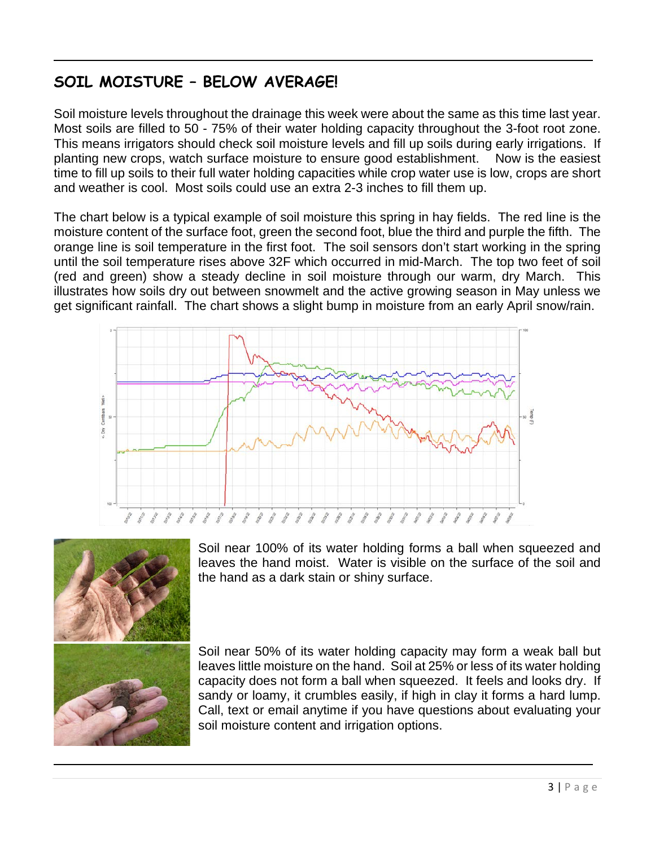# **SOIL MOISTURE – BELOW AVERAGE!**

Soil moisture levels throughout the drainage this week were about the same as this time last year. Most soils are filled to 50 - 75% of their water holding capacity throughout the 3-foot root zone. This means irrigators should check soil moisture levels and fill up soils during early irrigations. If planting new crops, watch surface moisture to ensure good establishment. Now is the easiest time to fill up soils to their full water holding capacities while crop water use is low, crops are short and weather is cool. Most soils could use an extra 2-3 inches to fill them up.

The chart below is a typical example of soil moisture this spring in hay fields. The red line is the moisture content of the surface foot, green the second foot, blue the third and purple the fifth. The orange line is soil temperature in the first foot. The soil sensors don't start working in the spring until the soil temperature rises above 32F which occurred in mid-March. The top two feet of soil (red and green) show a steady decline in soil moisture through our warm, dry March. This illustrates how soils dry out between snowmelt and the active growing season in May unless we get significant rainfall. The chart shows a slight bump in moisture from an early April snow/rain.





Soil near 100% of its water holding forms a ball when squeezed and leaves the hand moist. Water is visible on the surface of the soil and the hand as a dark stain or shiny surface.

Soil near 50% of its water holding capacity may form a weak ball but leaves little moisture on the hand. Soil at 25% or less of its water holding capacity does not form a ball when squeezed. It feels and looks dry. If sandy or loamy, it crumbles easily, if high in clay it forms a hard lump. Call, text or email anytime if you have questions about evaluating your soil moisture content and irrigation options.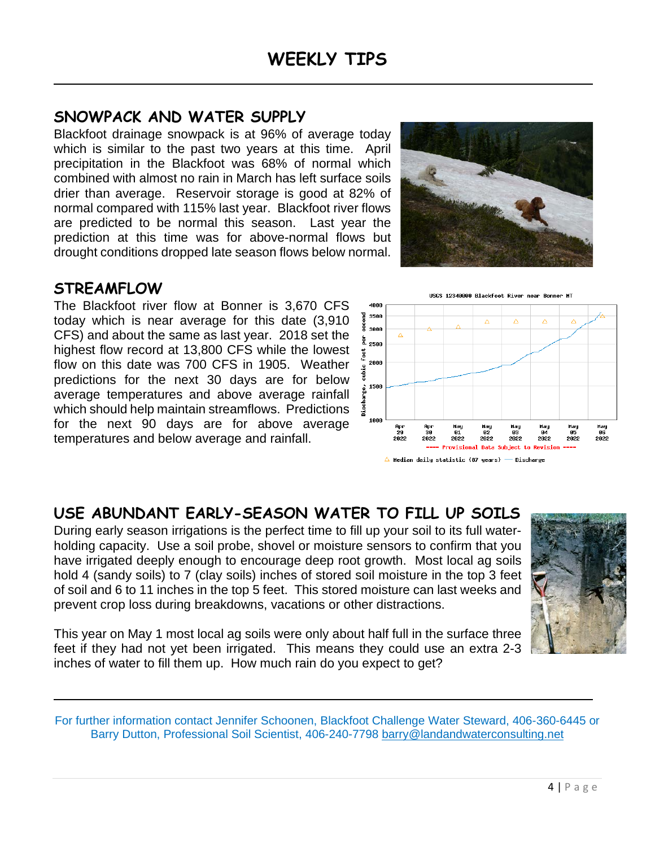# **SNOWPACK AND WATER SUPPLY**

Blackfoot drainage snowpack is at 96% of average today which is similar to the past two years at this time. April precipitation in the Blackfoot was 68% of normal which combined with almost no rain in March has left surface soils drier than average. Reservoir storage is good at 82% of normal compared with 115% last year. Blackfoot river flows are predicted to be normal this season. Last year the prediction at this time was for above-normal flows but drought conditions dropped late season flows below normal.

## **STREAMFLOW**

The Blackfoot river flow at Bonner is 3,670 CFS today which is near average for this date (3,910 CFS) and about the same as last year. 2018 set the highest flow record at 13,800 CFS while the lowest flow on this date was 700 CFS in 1905. Weather predictions for the next 30 days are for below average temperatures and above average rainfall which should help maintain streamflows. Predictions for the next 90 days are for above average temperatures and below average and rainfall.





Hay

82

2022

ovisional Data Subject to

03<br>2022

84

2022

Revision

 $\frac{05}{2022}$ 

 $\triangle$  Median daily statistic (87 years) — Discharge

01

2022

Арг<br>29

2822

Ap

30

2022

## **USE ABUNDANT EARLY-SEASON WATER TO FILL UP SOILS**

During early season irrigations is the perfect time to fill up your soil to its full waterholding capacity. Use a soil probe, shovel or moisture sensors to confirm that you have irrigated deeply enough to encourage deep root growth. Most local ag soils hold 4 (sandy soils) to 7 (clay soils) inches of stored soil moisture in the top 3 feet of soil and 6 to 11 inches in the top 5 feet. This stored moisture can last weeks and prevent crop loss during breakdowns, vacations or other distractions.

Hay<br>06<br>2022

This year on May 1 most local ag soils were only about half full in the surface three feet if they had not yet been irrigated. This means they could use an extra 2-3 inches of water to fill them up. How much rain do you expect to get?

For further information contact Jennifer Schoonen, Blackfoot Challenge Water Steward, 406-360-6445 or Barry Dutton, Professional Soil Scientist, 406-240-7798 [barry@landandwaterconsulting.net](mailto:barry@landandwaterconsulting.net)